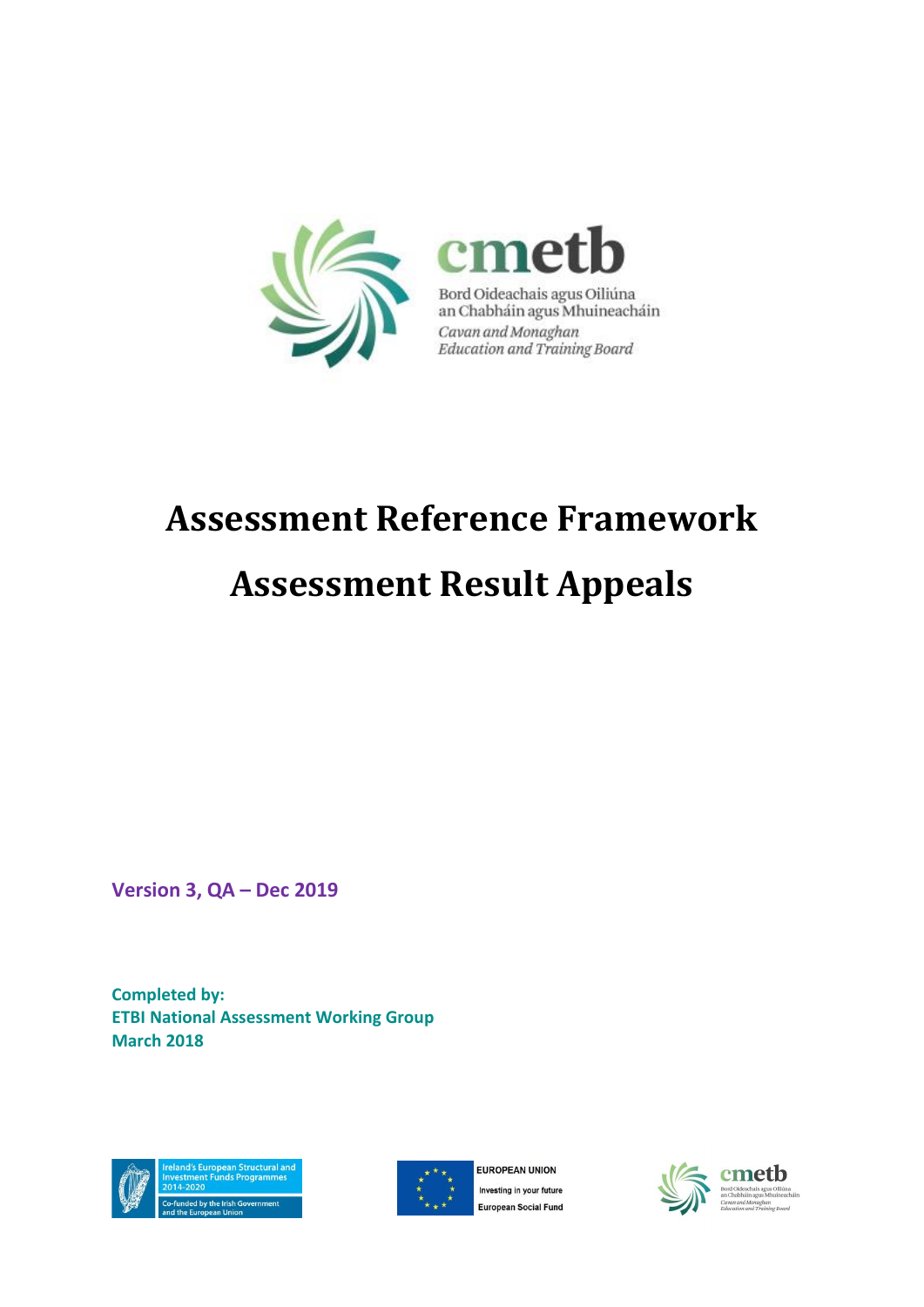

Bord Oideachais agus Oiliúna<br>an Chabháin agus Mhuineacháin Cavan and Monaghan Education and Training Board

# **Assessment Reference Framework**

# **Assessment Result Appeals**

**Version 3, QA – Dec 2019**

**Completed by: ETBI National Assessment Working Group March 2018**





**EUROPEAN UNION** Investing in your future **European Social Fund** 



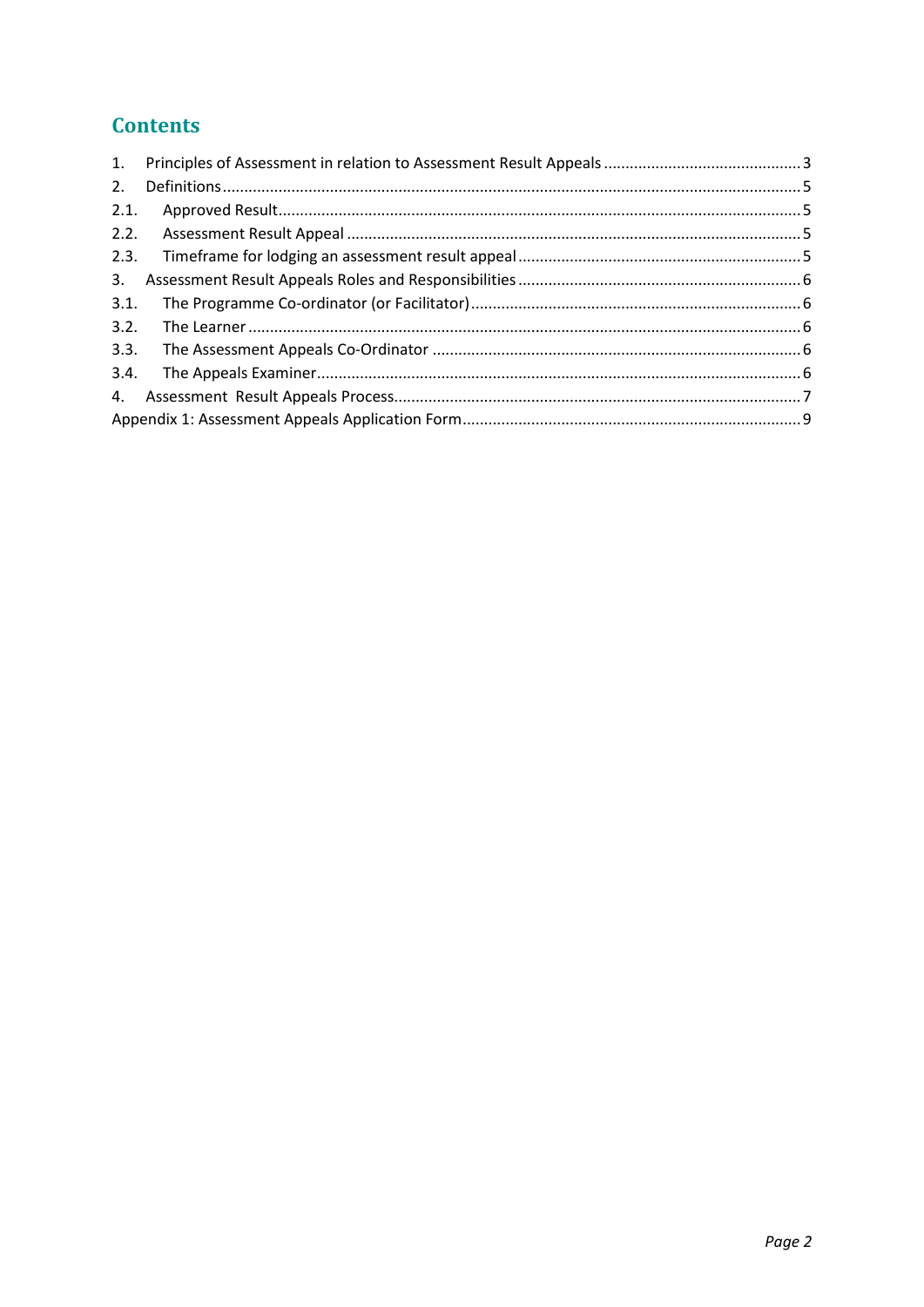## **Contents**

| 1.   |  |  |  |
|------|--|--|--|
| 2.   |  |  |  |
| 2.1. |  |  |  |
| 2.2. |  |  |  |
| 2.3. |  |  |  |
| 3.   |  |  |  |
| 3.1. |  |  |  |
| 3.2. |  |  |  |
| 3.3. |  |  |  |
| 3.4. |  |  |  |
| 4.   |  |  |  |
|      |  |  |  |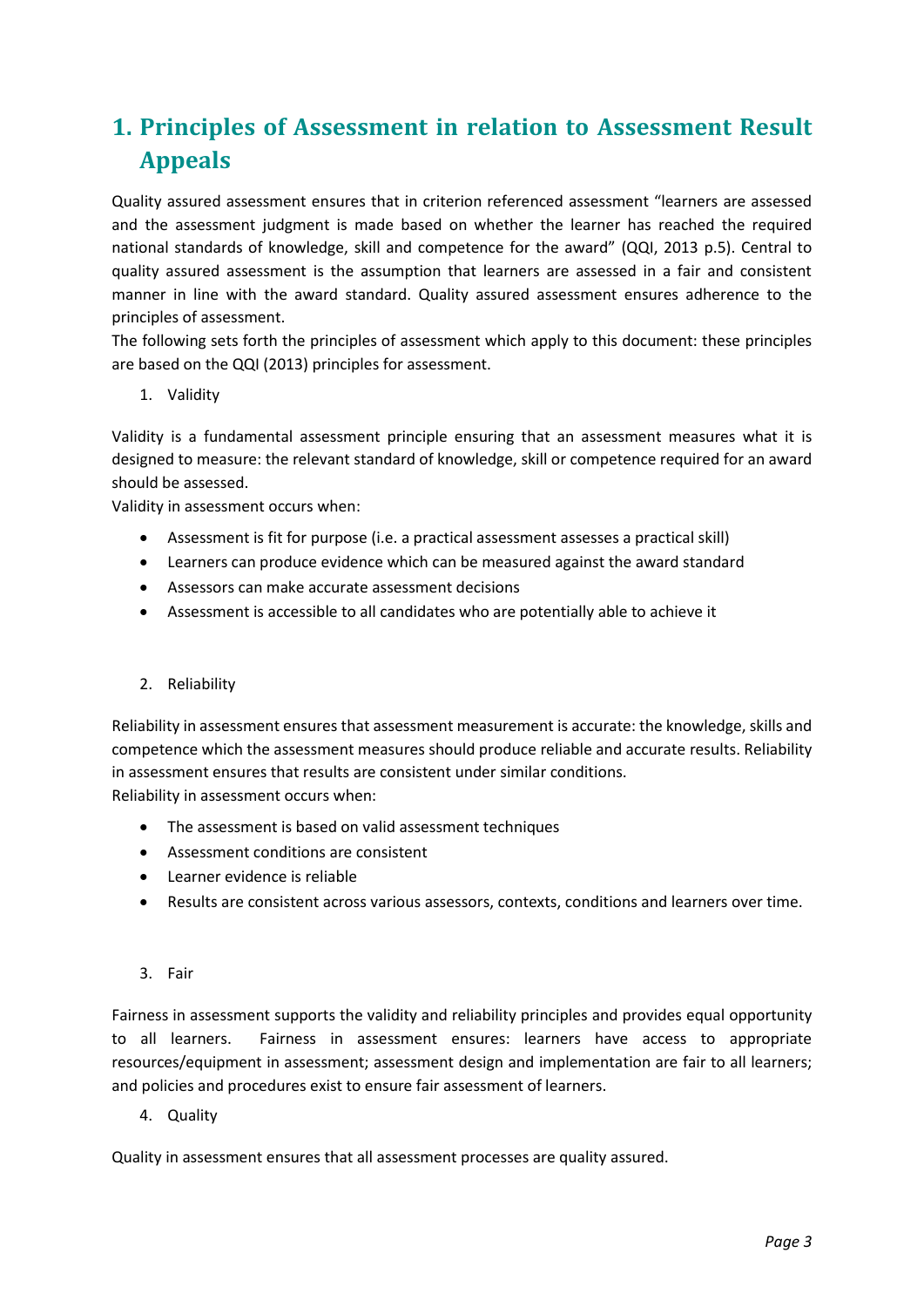# <span id="page-2-0"></span>**1. Principles of Assessment in relation to Assessment Result Appeals**

Quality assured assessment ensures that in criterion referenced assessment "learners are assessed and the assessment judgment is made based on whether the learner has reached the required national standards of knowledge, skill and competence for the award" (QQI, 2013 p.5). Central to quality assured assessment is the assumption that learners are assessed in a fair and consistent manner in line with the award standard. Quality assured assessment ensures adherence to the principles of assessment.

The following sets forth the principles of assessment which apply to this document: these principles are based on the QQI (2013) principles for assessment.

1. Validity

Validity is a fundamental assessment principle ensuring that an assessment measures what it is designed to measure: the relevant standard of knowledge, skill or competence required for an award should be assessed.

Validity in assessment occurs when:

- Assessment is fit for purpose (i.e. a practical assessment assesses a practical skill)
- Learners can produce evidence which can be measured against the award standard
- Assessors can make accurate assessment decisions
- Assessment is accessible to all candidates who are potentially able to achieve it

#### 2. Reliability

Reliability in assessment ensures that assessment measurement is accurate: the knowledge, skills and competence which the assessment measures should produce reliable and accurate results. Reliability in assessment ensures that results are consistent under similar conditions. Reliability in assessment occurs when:

- The assessment is based on valid assessment techniques
- Assessment conditions are consistent
- Learner evidence is reliable
- Results are consistent across various assessors, contexts, conditions and learners over time.

#### 3. Fair

Fairness in assessment supports the validity and reliability principles and provides equal opportunity to all learners. Fairness in assessment ensures: learners have access to appropriate resources/equipment in assessment; assessment design and implementation are fair to all learners; and policies and procedures exist to ensure fair assessment of learners.

4. Quality

Quality in assessment ensures that all assessment processes are quality assured.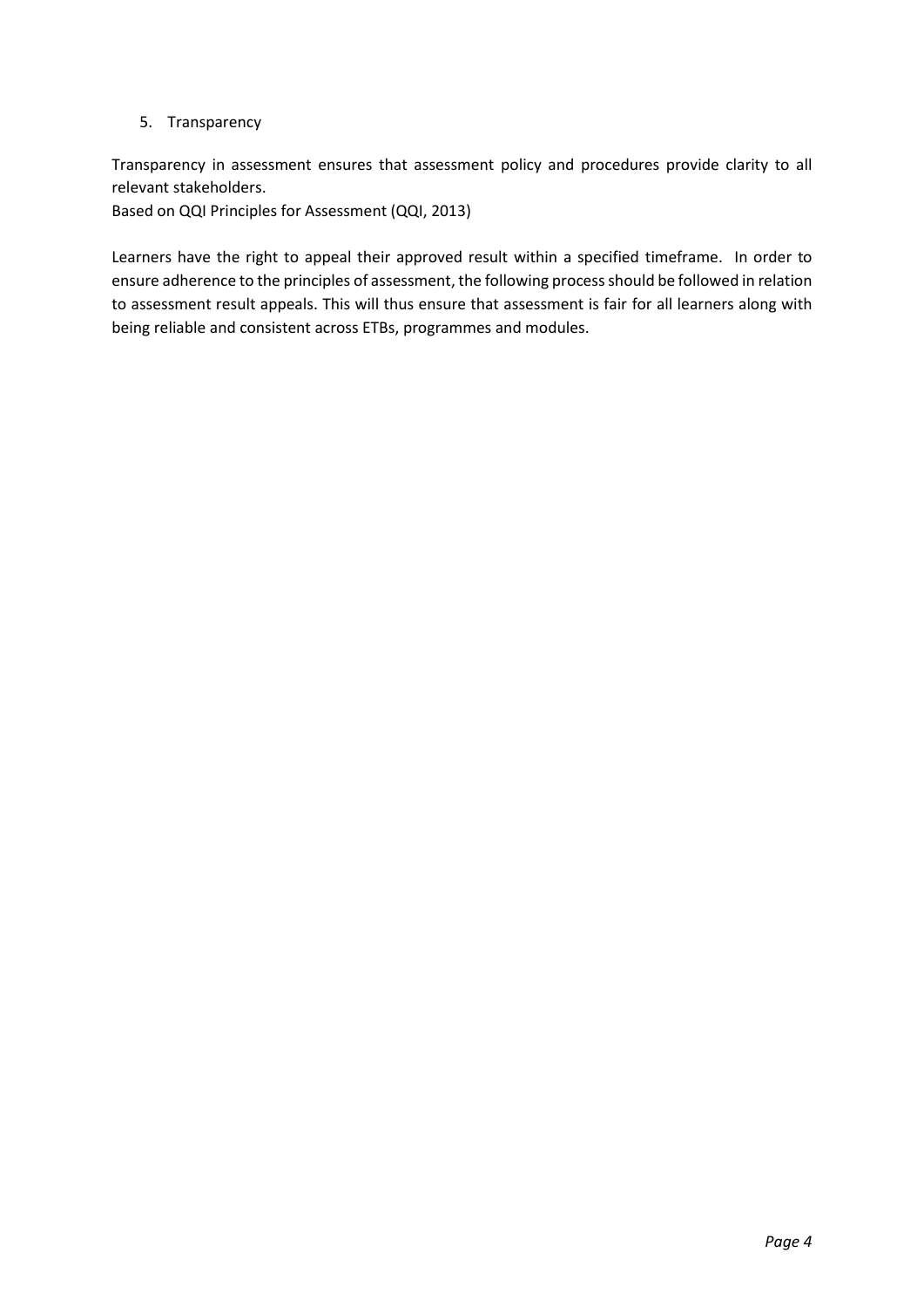#### 5. Transparency

Transparency in assessment ensures that assessment policy and procedures provide clarity to all relevant stakeholders.

Based on QQI Principles for Assessment (QQI, 2013)

Learners have the right to appeal their approved result within a specified timeframe. In order to ensure adherence to the principles of assessment, the following process should be followed in relation to assessment result appeals. This will thus ensure that assessment is fair for all learners along with being reliable and consistent across ETBs, programmes and modules.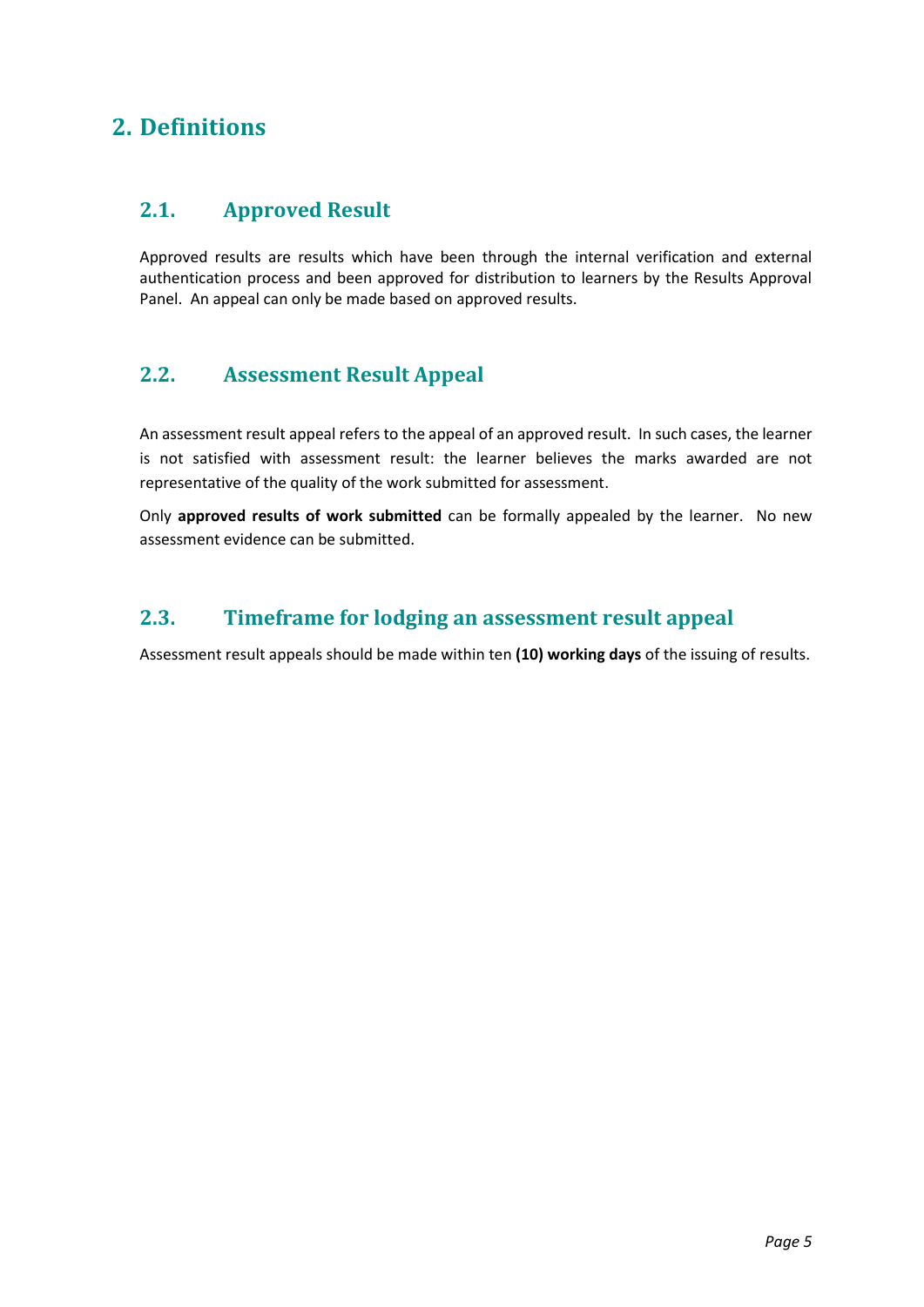## <span id="page-4-0"></span>**2. Definitions**

#### <span id="page-4-1"></span>**2.1. Approved Result**

Approved results are results which have been through the internal verification and external authentication process and been approved for distribution to learners by the Results Approval Panel. An appeal can only be made based on approved results.

### <span id="page-4-2"></span>**2.2. Assessment Result Appeal**

An assessment result appeal refers to the appeal of an approved result. In such cases, the learner is not satisfied with assessment result: the learner believes the marks awarded are not representative of the quality of the work submitted for assessment.

Only **approved results of work submitted** can be formally appealed by the learner. No new assessment evidence can be submitted.

### <span id="page-4-3"></span>**2.3. Timeframe for lodging an assessment result appeal**

Assessment result appeals should be made within ten **(10) working days** of the issuing of results.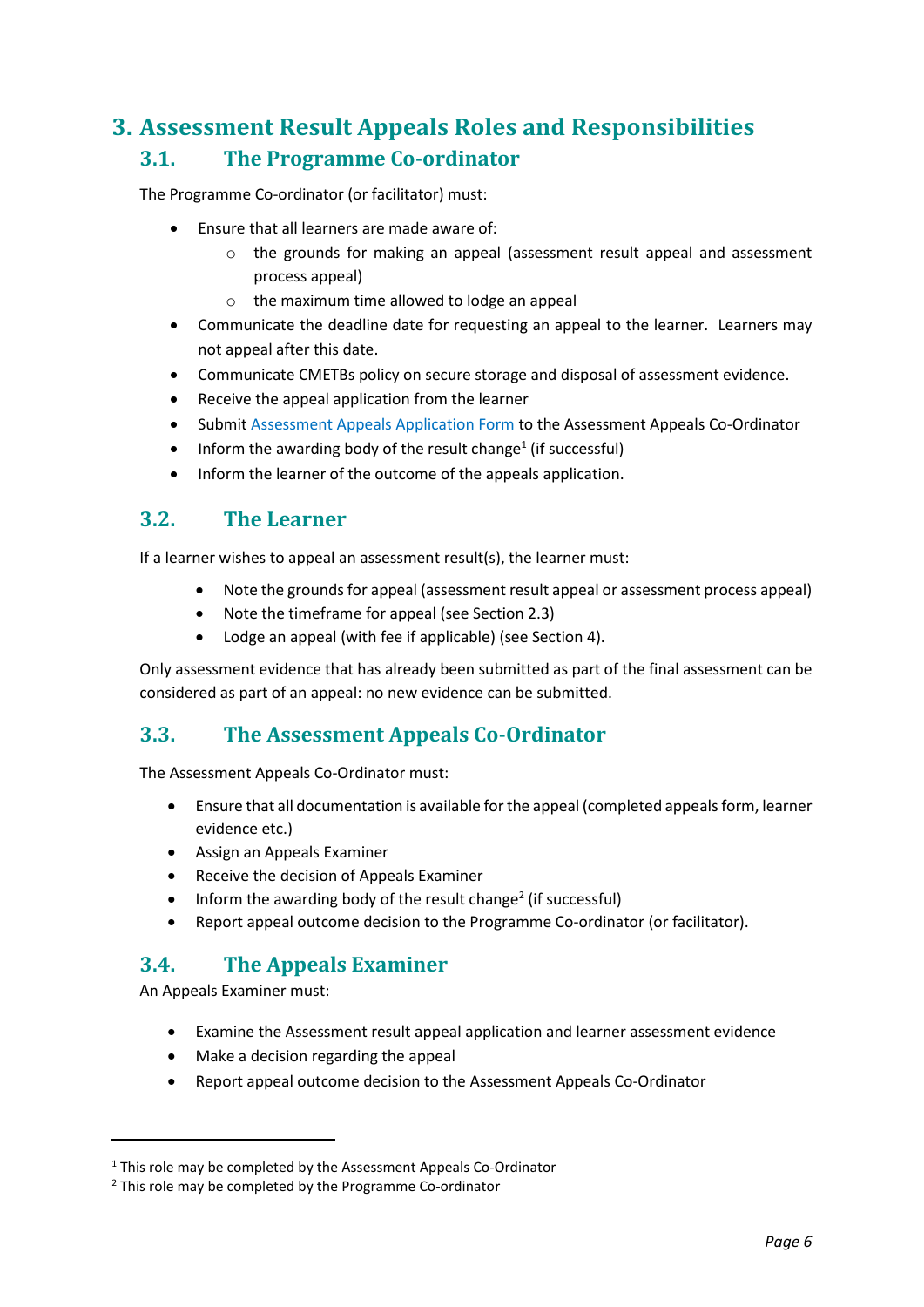## <span id="page-5-1"></span><span id="page-5-0"></span>**3. Assessment Result Appeals Roles and Responsibilities 3.1. The Programme Co-ordinator**

The Programme Co-ordinator (or facilitator) must:

- Ensure that all learners are made aware of:
	- o the grounds for making an appeal (assessment result appeal and assessment process appeal)
	- o the maximum time allowed to lodge an appeal
- Communicate the deadline date for requesting an appeal to the learner. Learners may not appeal after this date.
- Communicate CMETBs policy on secure storage and disposal of assessment evidence.
- Receive the appeal application from the learner
- Submit Assessment Appeals Application Form to the Assessment Appeals Co-Ordinator
- $\bullet$  Inform the awarding body of the result change<sup>1</sup> (if successful)
- Inform the learner of the outcome of the appeals application.

#### <span id="page-5-2"></span>**3.2. The Learner**

If a learner wishes to appeal an assessment result(s), the learner must:

- Note the grounds for appeal (assessment result appeal or assessment process appeal)
- Note the timeframe for appeal (see Section 2.3)
- Lodge an appeal (with fee if applicable) (see Section 4).

Only assessment evidence that has already been submitted as part of the final assessment can be considered as part of an appeal: no new evidence can be submitted.

## <span id="page-5-3"></span>**3.3. The Assessment Appeals Co-Ordinator**

The Assessment Appeals Co-Ordinator must:

- Ensure that all documentation is available for the appeal (completed appeals form, learner evidence etc.)
- Assign an Appeals Examiner
- Receive the decision of Appeals Examiner
- $\bullet$  Inform the awarding body of the result change<sup>2</sup> (if successful)
- Report appeal outcome decision to the Programme Co-ordinator (or facilitator).

## <span id="page-5-4"></span>**3.4. The Appeals Examiner**

An Appeals Examiner must:

- Examine the Assessment result appeal application and learner assessment evidence
- Make a decision regarding the appeal
- Report appeal outcome decision to the Assessment Appeals Co-Ordinator

 $1$  This role may be completed by the Assessment Appeals Co-Ordinator

<sup>&</sup>lt;sup>2</sup> This role may be completed by the Programme Co-ordinator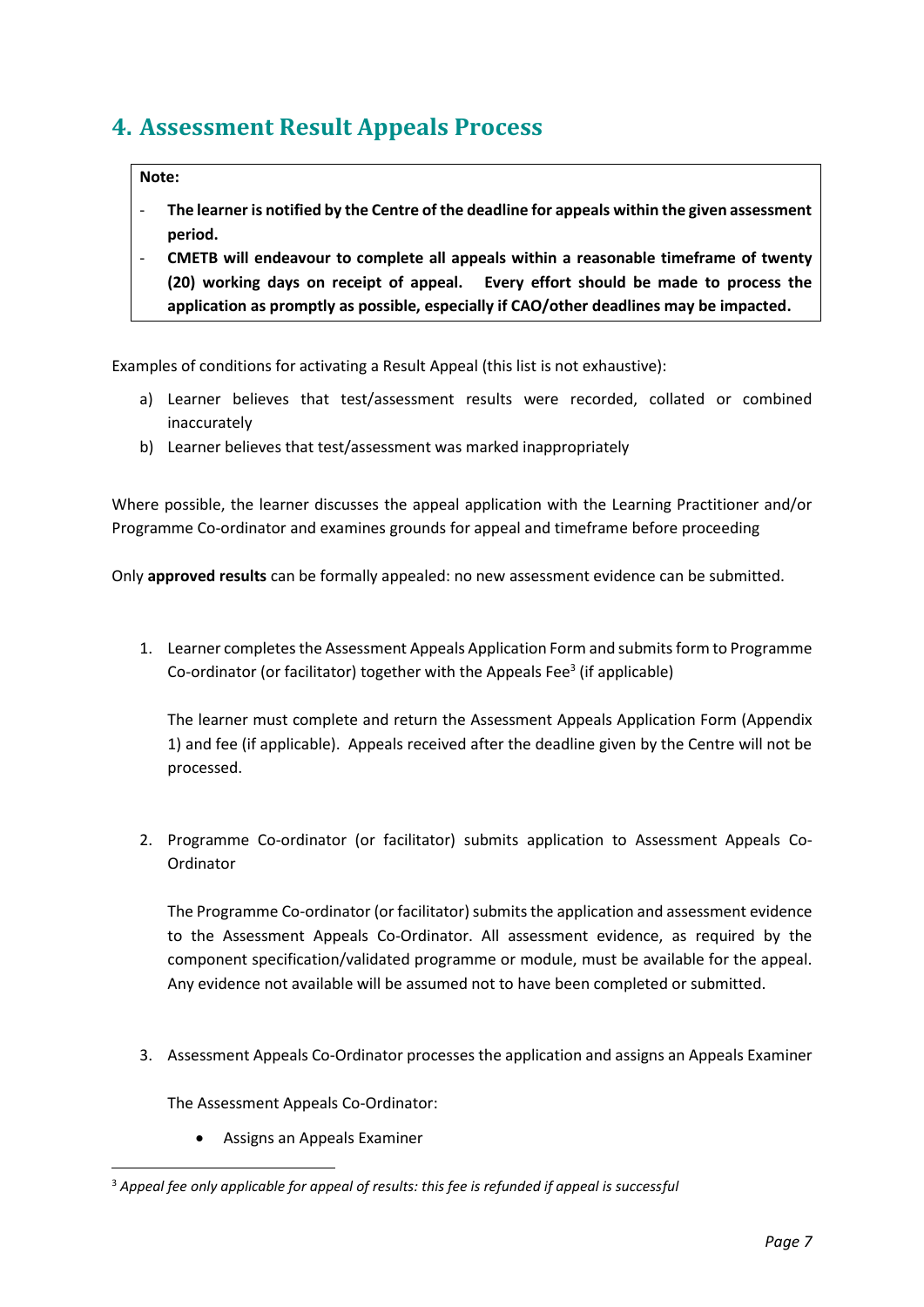## <span id="page-6-0"></span>**4. Assessment Result Appeals Process**

#### **Note:**

- **The learner is notified by the Centre of the deadline for appeals within the given assessment period.**
- **CMETB will endeavour to complete all appeals within a reasonable timeframe of twenty (20) working days on receipt of appeal. Every effort should be made to process the application as promptly as possible, especially if CAO/other deadlines may be impacted.**

Examples of conditions for activating a Result Appeal (this list is not exhaustive):

- a) Learner believes that test/assessment results were recorded, collated or combined inaccurately
- b) Learner believes that test/assessment was marked inappropriately

Where possible, the learner discusses the appeal application with the Learning Practitioner and/or Programme Co-ordinator and examines grounds for appeal and timeframe before proceeding

Only **approved results** can be formally appealed: no new assessment evidence can be submitted.

1. Learner completes the Assessment Appeals Application Form and submits form to Programme Co-ordinator (or facilitator) together with the Appeals Fee<sup>3</sup> (if applicable)

The learner must complete and return the Assessment Appeals Application Form (Appendix 1) and fee (if applicable). Appeals received after the deadline given by the Centre will not be processed.

2. Programme Co-ordinator (or facilitator) submits application to Assessment Appeals Co-**Ordinator** 

The Programme Co-ordinator (or facilitator) submits the application and assessment evidence to the Assessment Appeals Co-Ordinator. All assessment evidence, as required by the component specification/validated programme or module, must be available for the appeal. Any evidence not available will be assumed not to have been completed or submitted.

3. Assessment Appeals Co-Ordinator processes the application and assigns an Appeals Examiner

The Assessment Appeals Co-Ordinator:

• Assigns an Appeals Examiner

<sup>3</sup> *Appeal fee only applicable for appeal of results: this fee is refunded if appeal is successful*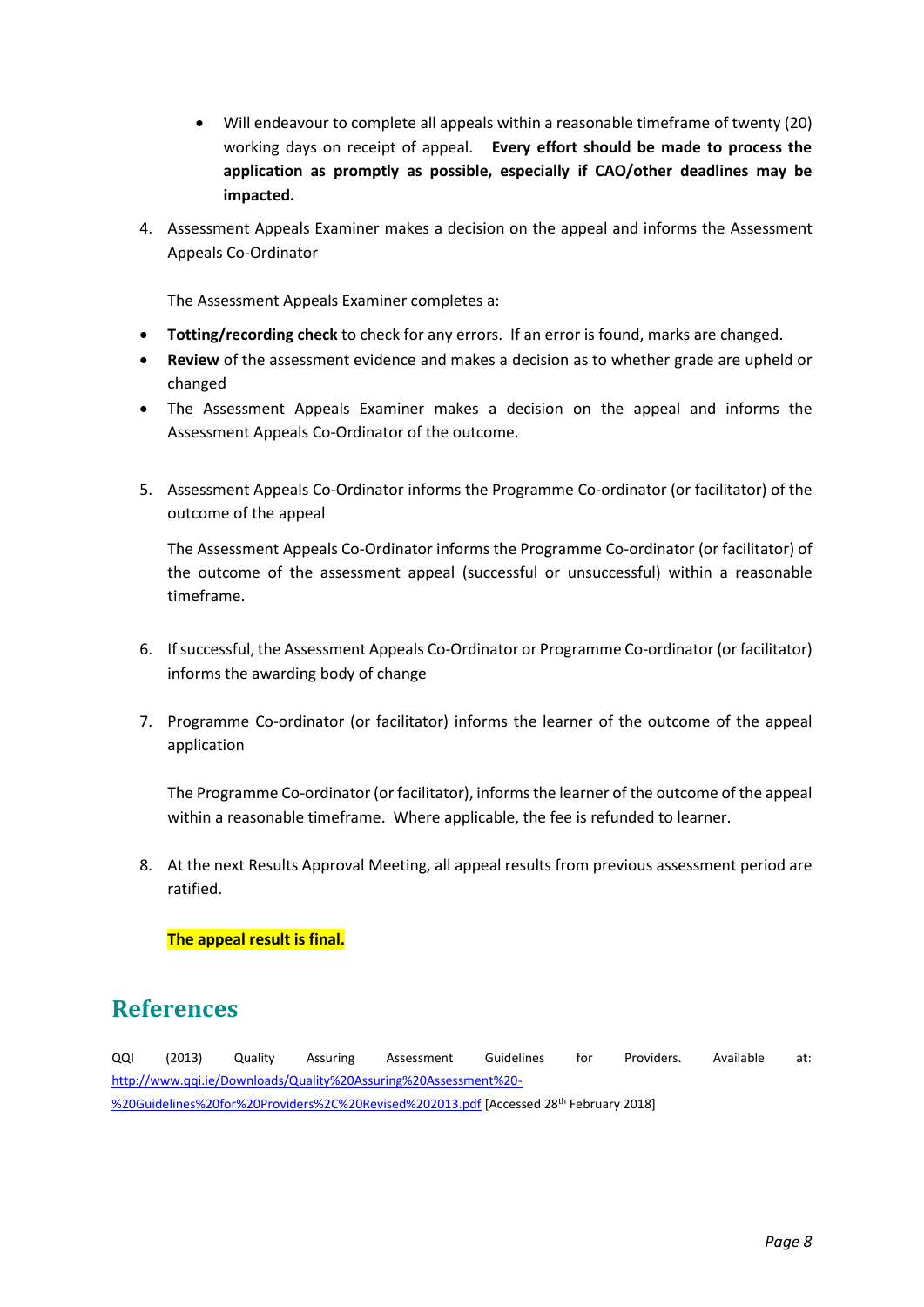- Will endeavour to complete all appeals within a reasonable timeframe of twenty (20) working days on receipt of appeal. **Every effort should be made to process the application as promptly as possible, especially if CAO/other deadlines may be impacted.**
- 4. Assessment Appeals Examiner makes a decision on the appeal and informs the Assessment Appeals Co-Ordinator

The Assessment Appeals Examiner completes a:

- **Totting/recording check** to check for any errors. If an error is found, marks are changed.
- **Review** of the assessment evidence and makes a decision as to whether grade are upheld or changed
- The Assessment Appeals Examiner makes a decision on the appeal and informs the Assessment Appeals Co-Ordinator of the outcome.
- 5. Assessment Appeals Co-Ordinator informs the Programme Co-ordinator (or facilitator) of the outcome of the appeal

The Assessment Appeals Co-Ordinator informs the Programme Co-ordinator (or facilitator) of the outcome of the assessment appeal (successful or unsuccessful) within a reasonable timeframe.

- 6. If successful, the Assessment Appeals Co-Ordinator or Programme Co-ordinator (or facilitator) informs the awarding body of change
- 7. Programme Co-ordinator (or facilitator) informs the learner of the outcome of the appeal application

The Programme Co-ordinator (or facilitator), informs the learner of the outcome of the appeal within a reasonable timeframe. Where applicable, the fee is refunded to learner.

8. At the next Results Approval Meeting, all appeal results from previous assessment period are ratified.

**The appeal result is final.**

## **References**

QQI (2013) Quality Assuring Assessment Guidelines for Providers. Available at: [http://www.qqi.ie/Downloads/Quality%20Assuring%20Assessment%20-](http://www.qqi.ie/Downloads/Quality%20Assuring%20Assessment%20-%20Guidelines%20for%20Providers%2C%20Revised%202013.pdf) [%20Guidelines%20for%20Providers%2C%20Revised%202013.pdf](http://www.qqi.ie/Downloads/Quality%20Assuring%20Assessment%20-%20Guidelines%20for%20Providers%2C%20Revised%202013.pdf) [Accessed 28th February 2018]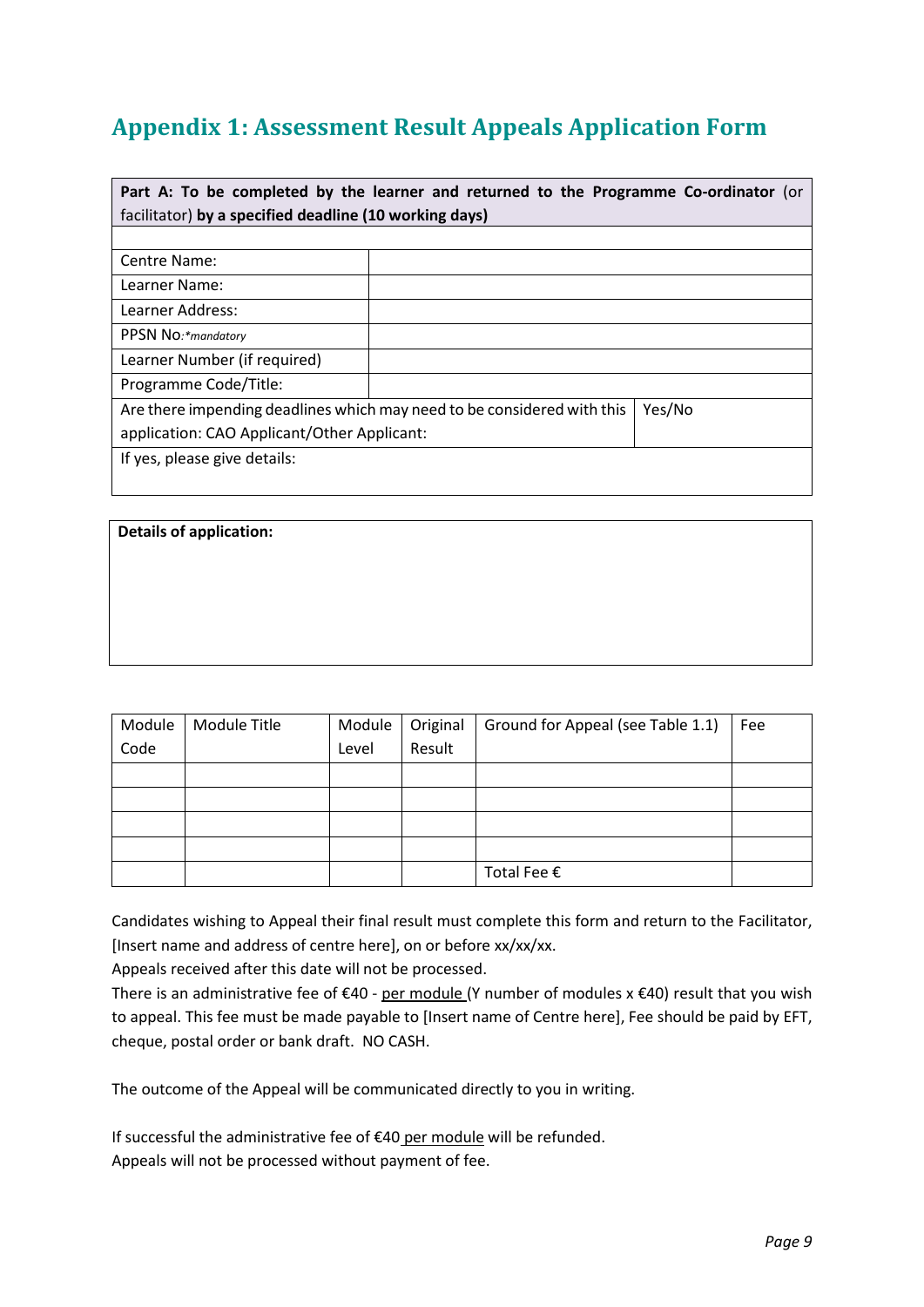# <span id="page-8-0"></span>**Appendix 1: Assessment Result Appeals Application Form**

| Part A: To be completed by the learner and returned to the Programme Co-ordinator (or |  |  |  |  |
|---------------------------------------------------------------------------------------|--|--|--|--|
| facilitator) by a specified deadline (10 working days)                                |  |  |  |  |
|                                                                                       |  |  |  |  |
| Centre Name:                                                                          |  |  |  |  |
| Learner Name:                                                                         |  |  |  |  |
| Learner Address:                                                                      |  |  |  |  |
| PPSN No:*mandatory                                                                    |  |  |  |  |
| Learner Number (if required)                                                          |  |  |  |  |
| Programme Code/Title:                                                                 |  |  |  |  |
| Are there impending deadlines which may need to be considered with this<br>Yes/No     |  |  |  |  |
| application: CAO Applicant/Other Applicant:                                           |  |  |  |  |
| If yes, please give details:                                                          |  |  |  |  |
|                                                                                       |  |  |  |  |

| <b>Details of application:</b> |  |  |
|--------------------------------|--|--|
|                                |  |  |
|                                |  |  |
|                                |  |  |
|                                |  |  |

| Module | Module Title | Module | Original | Ground for Appeal (see Table 1.1) | Fee |
|--------|--------------|--------|----------|-----------------------------------|-----|
| Code   |              | Level  | Result   |                                   |     |
|        |              |        |          |                                   |     |
|        |              |        |          |                                   |     |
|        |              |        |          |                                   |     |
|        |              |        |          |                                   |     |
|        |              |        |          | Total Fee €                       |     |

Candidates wishing to Appeal their final result must complete this form and return to the Facilitator, [Insert name and address of centre here], on or before xx/xx/xx.

Appeals received after this date will not be processed.

There is an administrative fee of €40 - per module (Y number of modules x €40) result that you wish to appeal. This fee must be made payable to [Insert name of Centre here], Fee should be paid by EFT, cheque, postal order or bank draft. NO CASH.

The outcome of the Appeal will be communicated directly to you in writing.

If successful the administrative fee of €40 per module will be refunded. Appeals will not be processed without payment of fee.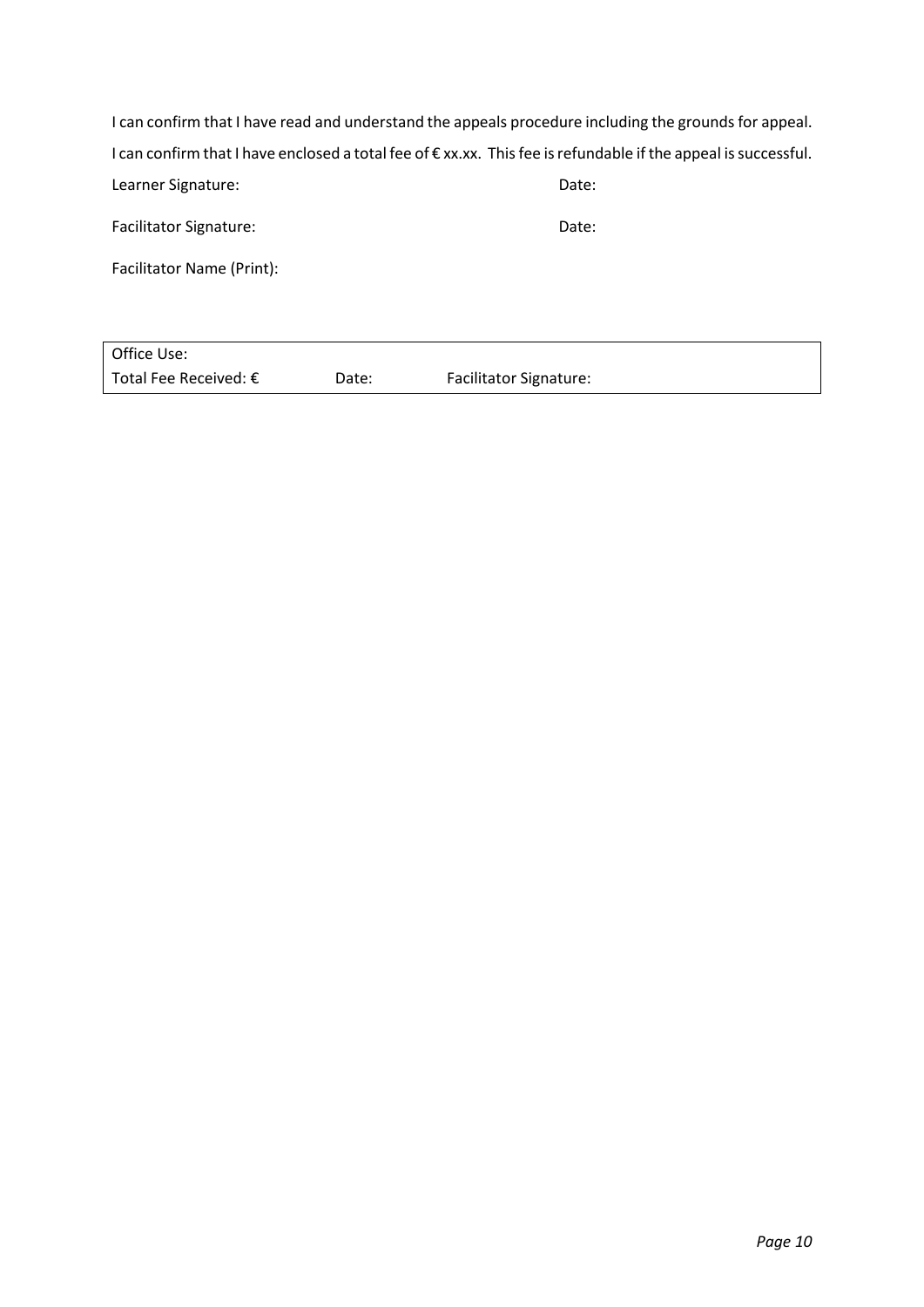| I can confirm that I have read and understand the appeals procedure including the grounds for appeal.         |       |  |
|---------------------------------------------------------------------------------------------------------------|-------|--|
| I can confirm that I have enclosed a total fee of €xx.xx. This fee is refundable if the appeal is successful. |       |  |
| Learner Signature:                                                                                            | Date: |  |
| <b>Facilitator Signature:</b>                                                                                 | Date: |  |
| Facilitator Name (Print):                                                                                     |       |  |

| Office Use:                    |       |                               |
|--------------------------------|-------|-------------------------------|
| Total Fee Received: $\epsilon$ | Date: | <b>Facilitator Signature:</b> |